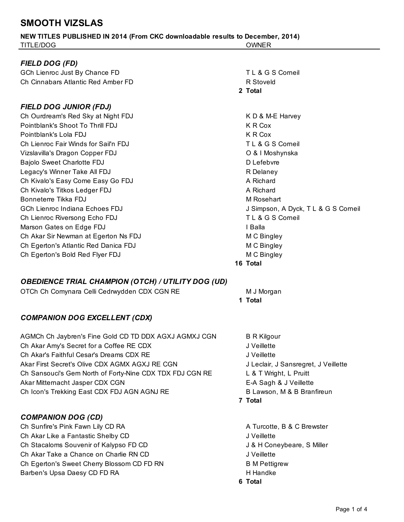## **SMOOTH VIZSLAS**

| TITLE/DOG                            | <b>OWNER</b>                         |
|--------------------------------------|--------------------------------------|
|                                      |                                      |
| FIELD DOG (FD)                       |                                      |
| GCh Lienroc Just By Chance FD        | TL & G S Corneil                     |
| Ch Cinnabars Atlantic Red Amber FD   | R Stoveld                            |
|                                      | 2 Total                              |
| FIELD DOG JUNIOR (FDJ)               |                                      |
| Ch Ourdream's Red Sky at Night FDJ   | K D & M-E Harvey                     |
| Pointblank's Shoot To Thrill FDJ     | K R Cox                              |
| Pointblank's Lola FDJ                | K R Cox                              |
| Ch Lienroc Fair Winds for Sail'n FDJ | TL & G S Corneil                     |
| Vizslavilla's Dragon Copper FDJ      | O & I Moshynska                      |
| <b>Bajolo Sweet Charlotte FDJ</b>    | D Lefebvre                           |
| Legacy's Winner Take All FDJ         | R Delaney                            |
| Ch Kivalo's Easy Come Easy Go FDJ    | A Richard                            |
| Ch Kivalo's Titkos Ledger FDJ        | A Richard                            |
| Bonneterre Tikka FDJ                 | M Rosehart                           |
| GCh Lienroc Indiana Echoes FDJ       | J Simpson, A Dyck, T L & G S Corneil |
| Ch Lienroc Riversong Echo FDJ        | TL & G S Corneil                     |
| Marson Gates on Edge FDJ             | I Balla                              |
| Ch Akar Sir Newman at Egerton Ns FDJ | M C Bingley                          |
| Ch Egerton's Atlantic Red Danica FDJ | M C Bingley                          |
| Ch Egerton's Bold Red Flyer FDJ      | M C Bingley                          |
|                                      | 16 Total                             |

**NEW TITLES PUBLISHED IN 2014 (From CKC downloadable results to December, 2014)**

## *OBEDIENCE TRIAL CHAMPION (OTCH) / UTILITY DOG (UD)*

OTCh Ch Comynara Celli Cedrwydden CDX CGN RE M J Morgan

## *COMPANION DOG EXCELLENT (CDX)*

| AGMCh Ch Jaybren's Fine Gold CD TD DDX AGXJ AGMXJ CGN    | B R Kilgor      |
|----------------------------------------------------------|-----------------|
| Ch Akar Amy's Secret for a Coffee RE CDX                 | J Veillette     |
| Ch Akar's Faithful Cesar's Dreams CDX RE                 | J Veillette     |
| Akar First Secret's Olive CDX AGMX AGXJ RE CGN           | J Leclair,      |
| Ch Sansouci's Gem North of Forty-Nine CDX TDX FDJ CGN RE | L & T Wrig      |
| Akar Mitternacht Jasper CDX CGN                          | E-A Sagh        |
| Ch Icon's Trekking East CDX FDJ AGN AGNJ RE              | <b>B</b> Lawson |

## *COMPANION DOG (CD)*

Ch Sunfire's Pink Fawn Lily CD RA A Turcotte, B & C Brewster Ch Akar Like a Fantastic Shelby CD **Good Contains a Container Container Container** J Veillette Ch Stacaloms Souvenir of Kalypso FD CD J& H Coneybeare, S Miller Ch Akar Take a Chance on Charlie RN CD **Gluess Chance 1** J Veillette Ch Egerton's Sweet Cherry Blossom CD FD RN B M Pettigrew Barben's Upsa Daesy CD FD RA https://www.facebook.com/www.facebook.com/www.facebook.com/www.facebook.com/www.facebook.com/

- **1 Total**
	- **B R Kilgour** J Veillette J Leclair, J Sansregret, J Veillette L & T Wright, L Pruitt E-A Sagh & J Veillette B Lawson, M & B Branfireun
- **7 Total**

**6 Total**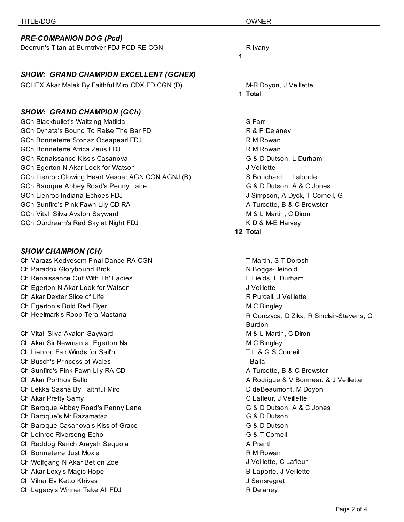|                                                             | R Ivany                           |
|-------------------------------------------------------------|-----------------------------------|
| Deerrun's Titan at Burntriver FDJ PCD RE CGN                | 1                                 |
| <b>SHOW: GRAND CHAMPION EXCELLENT (GCHEX)</b>               |                                   |
| GCHEX Akar Malek By Faithful Miro CDX FD CGN (D)            | M-R Doyon, J Veillette<br>1 Total |
| <b>SHOW: GRAND CHAMPION (GCh)</b>                           |                                   |
| <b>GCh Blackbullet's Waltzing Matilda</b>                   | S Farr                            |
| GCh Dynata's Bound To Raise The Bar FD                      | R & P Delaney                     |
| GCh Bonneterre Stonaz Oceapearl FDJ                         | R M Rowan                         |
| GCh Bonneterre Africa Zeus FDJ                              | R M Rowan                         |
| GCh Renaissance Kiss's Casanova                             | G & D Dutson, L Durh              |
| GCh Egerton N Akar Look for Watson                          | J Veillette                       |
| GCh Lienroc Glowing Heart Vesper AGN CGN AGNJ (B)           | S Bouchard, L Lalond              |
| GCh Baroque Abbey Road's Penny Lane                         | G & D Dutson, A & C.              |
| <b>GCh Lienroc Indiana Echoes FDJ</b>                       | J Simpson, A Dyck, T              |
| GCh Sunfire's Pink Fawn Lily CD RA                          | A Turcotte, B & C Brev            |
| GCh Vitali Silva Avalon Sayward                             | M & L Martin, C Diron             |
| GCh Ourdream's Red Sky at Night FDJ                         | K D & M-E Harvey                  |
|                                                             | 12 Total                          |
| <b>SHOW CHAMPION (CH)</b>                                   |                                   |
| Ch Varazs Kedvesem Final Dance RA CGN                       | T Martin, S T Dorosh              |
| Ch Paradox Glorybound Brok                                  | N Boggs-Heinold                   |
| Ch Renaissance Out With Th' Ladies                          | L Fields, L Durham                |
| Ch Egerton N Akar Look for Watson                           | J Veillette                       |
| Ch Akar Dexter Slice of Life                                | R Purcell, J Veillette            |
| Ch Egerton's Bold Red Flyer                                 | M C Bingley                       |
| Ch Heelmark's Roop Tera Mastana                             | R Gorczyca, D Zika, R             |
|                                                             | <b>Burdon</b>                     |
| Ch Vitali Silva Avalon Sayward                              | M & L Martin, C Diron             |
| Ch Akar Sir Newman at Egerton Ns                            | M C Bingley                       |
| Ch Lienroc Fair Winds for Sail'n                            | TL & G S Corneil                  |
| Ch Busch's Princess of Wales                                | I Balla                           |
| Ch Sunfire's Pink Fawn Lily RA CD                           | A Turcotte, B & C Brev            |
| Ch Akar Porthos Bello                                       | A Rodrigue & V Bonne              |
| Ch Lekka Sasha By Faithful Miro                             | D deBeaumont, M Doy               |
| Ch Akar Pretty Samy                                         | C Lafleur, J Veillette            |
| Ch Baroque Abbey Road's Penny Lane                          | G & D Dutson, A & C.              |
| Ch Baroque's Mr Razamataz                                   | G & D Dutson                      |
| Ch Baroque Casanova's Kiss of Grace                         | G & D Dutson                      |
| Ch Leinroc Riversong Echo                                   | G & T Corneil                     |
| Ch Reddog Ranch Arayah Sequoia                              | A Prantl                          |
| Ch Bonneterre Just Moxie                                    | R M Rowan                         |
| Ch Wolfgang N Akar Bet on Zoe                               | J Veillette, C Lafleur            |
| Ch Akar Lexy's Magic Hope                                   | B Laporte, J Veillette            |
|                                                             | J Sansregret                      |
| Ch Vihar Ev Ketto Khivas<br>Ch Legacy's Winner Take All FDJ | R Delaney                         |

utson, L Durham ard, L Lalonde atson, A & C Jones on, A Dyck, T Corneil, G te, B & C Brewster

S T Dorosh I, J Veillette ca, D Zika, R Sinclair-Stevens, G artin, C Diron te, B & C Brewster ue & V Bonneau & J Veillette umont, M Doyon r, J Veillette utson, A & C Jones e, C Lafleur te, J Veillette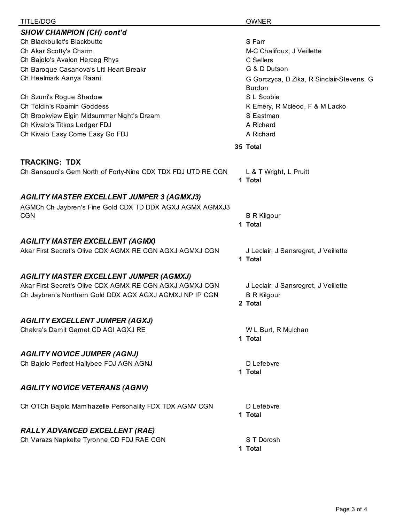| TITLE/DOG                                                    | <b>OWNER</b>                                               |
|--------------------------------------------------------------|------------------------------------------------------------|
| <b>SHOW CHAMPION (CH) cont'd</b>                             |                                                            |
| Ch Blackbullet's Blackbutte                                  | S Farr                                                     |
| Ch Akar Scotty's Charm                                       | M-C Chalifoux, J Veillette                                 |
| Ch Bajolo's Avalon Herceg Rhys                               | C Sellers                                                  |
| Ch Baroque Casanova's Litl Heart Breakr                      | G & D Dutson                                               |
| Ch Heelmark Aanya Raani                                      | G Gorczyca, D Zika, R Sinclair-Stevens, G<br><b>Burdon</b> |
| Ch Szuni's Rogue Shadow                                      | S L Scobie                                                 |
| Ch Toldin's Roamin Goddess                                   | K Emery, R Mcleod, F & M Lacko                             |
| Ch Brookview Elgin Midsummer Night's Dream                   | S Eastman                                                  |
| Ch Kivalo's Titkos Ledger FDJ                                | A Richard                                                  |
| Ch Kivalo Easy Come Easy Go FDJ                              | A Richard                                                  |
|                                                              | 35 Total                                                   |
| <b>TRACKING: TDX</b>                                         |                                                            |
| Ch Sansouci's Gem North of Forty-Nine CDX TDX FDJ UTD RE CGN | L & T Wright, L Pruitt<br>1 Total                          |
| <b>AGILITY MASTER EXCELLENT JUMPER 3 (AGMXJ3)</b>            |                                                            |
| AGMCh Ch Jaybren's Fine Gold CDX TD DDX AGXJ AGMX AGMXJ3     |                                                            |
| <b>CGN</b>                                                   | <b>B R Kilgour</b>                                         |
|                                                              | 1 Total                                                    |
| <b>AGILITY MASTER EXCELLENT (AGMX)</b>                       |                                                            |
| Akar First Secret's Olive CDX AGMX RE CGN AGXJ AGMXJ CGN     | J Leclair, J Sansregret, J Veillette                       |
|                                                              | 1 Total                                                    |
| <b>AGILITY MASTER EXCELLENT JUMPER (AGMXJ)</b>               |                                                            |
| Akar First Secret's Olive CDX AGMX RE CGN AGXJ AGMXJ CGN     | J Leclair, J Sansregret, J Veillette                       |
| Ch Jaybren's Northern Gold DDX AGX AGXJ AGMXJ NP IP CGN      | <b>B R Kilgour</b>                                         |
|                                                              | 2 Total                                                    |
| <b>AGILITY EXCELLENT JUMPER (AGXJ)</b>                       |                                                            |
| Chakra's Darnit Garnet CD AGI AGXJ RE                        | W L Burt, R Mulchan                                        |
|                                                              | 1 Total                                                    |
| <b>AGILITY NOVICE JUMPER (AGNJ)</b>                          |                                                            |
| Ch Bajolo Perfect Hallybee FDJ AGN AGNJ                      | D Lefebvre                                                 |
|                                                              | 1 Total                                                    |
| <b>AGILITY NOVICE VETERANS (AGNV)</b>                        |                                                            |
| Ch OTCh Bajolo Mam'hazelle Personality FDX TDX AGNV CGN      | D Lefebvre                                                 |
|                                                              | 1 Total                                                    |
| RALLY ADVANCED EXCELLENT (RAE)                               |                                                            |
| Ch Varazs Napkelte Tyronne CD FDJ RAE CGN                    | S T Dorosh                                                 |
|                                                              | 1 Total                                                    |